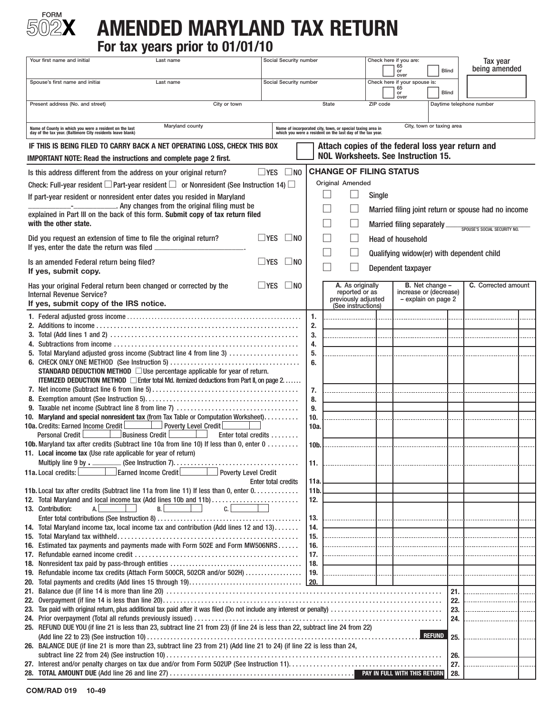

# **TORM**<br>02X AMENDED MARYLAND TAX RETURN **For tax years prior to 01/01/10**

| Your first name and initial<br>Last name                                                                                                                                           | Social Security number     |                        |                                                                                                                          |          | Check here if you are:<br>$_{\rm or}^{65}$<br>over | <b>Blind</b>                                  | Tax year<br>being amended                           |  |  |  |
|------------------------------------------------------------------------------------------------------------------------------------------------------------------------------------|----------------------------|------------------------|--------------------------------------------------------------------------------------------------------------------------|----------|----------------------------------------------------|-----------------------------------------------|-----------------------------------------------------|--|--|--|
| Spouse's first name and initial<br>Last name                                                                                                                                       | Social Security number     |                        |                                                                                                                          |          | Check here if your spouse is:<br>$rac{65}{00}$     | <b>Blind</b>                                  |                                                     |  |  |  |
| Present address (No. and street)<br>City or town                                                                                                                                   |                            |                        | State                                                                                                                    | ZIP code | over                                               | Daytime telephone number                      |                                                     |  |  |  |
|                                                                                                                                                                                    |                            |                        |                                                                                                                          |          |                                                    |                                               |                                                     |  |  |  |
| Maryland county<br>Name of County in which you were a resident on the last<br>day of the tax year. (Baltimore City residents leave blank)                                          |                            |                        | Name of incorporated city, town, or special taxing area in<br>which you were a resident on the last day of the tax year. |          |                                                    | City, town or taxing area                     |                                                     |  |  |  |
| IF THIS IS BEING FILED TO CARRY BACK A NET OPERATING LOSS, CHECK THIS BOX                                                                                                          |                            |                        | Attach copies of the federal loss year return and                                                                        |          |                                                    |                                               |                                                     |  |  |  |
| IMPORTANT NOTE: Read the instructions and complete page 2 first.                                                                                                                   |                            |                        | <b>NOL Worksheets. See Instruction 15.</b>                                                                               |          |                                                    |                                               |                                                     |  |  |  |
| Is this address different from the address on your original return?                                                                                                                | $\square$ YES<br>$\Box$ NO |                        | <b>CHANGE OF FILING STATUS</b>                                                                                           |          |                                                    |                                               |                                                     |  |  |  |
| Check: Full-year resident $\square$ Part-year resident $\square$ or Nonresident (See Instruction 14) $\square$                                                                     |                            |                        | Original Amended                                                                                                         |          |                                                    |                                               |                                                     |  |  |  |
| If part-year resident or nonresident enter dates you resided in Maryland<br>----------------------. Any changes from the original filing must be                                   |                            |                        |                                                                                                                          | Single   |                                                    |                                               |                                                     |  |  |  |
| explained in Part III on the back of this form. Submit copy of tax return filed                                                                                                    |                            |                        |                                                                                                                          |          |                                                    |                                               | Married filing joint return or spouse had no income |  |  |  |
| with the other state.                                                                                                                                                              |                            |                        |                                                                                                                          |          | Married filing separately_                         |                                               | SPOUSE'S SOCIAL SECURITY NO.                        |  |  |  |
| Did you request an extension of time to file the original return?                                                                                                                  | $\Box$ YES<br>$\Box$ NO    |                        |                                                                                                                          |          | <b>Head of household</b>                           |                                               |                                                     |  |  |  |
| If yes, enter the date the return was filed                                                                                                                                        |                            |                        | ×                                                                                                                        |          |                                                    |                                               | Qualifying widow(er) with dependent child           |  |  |  |
| Is an amended Federal return being filed?<br>If yes, submit copy.                                                                                                                  | $\Box$ YES<br>$\Box$ NO    |                        |                                                                                                                          |          | Dependent taxpayer                                 |                                               |                                                     |  |  |  |
| Has your original Federal return been changed or corrected by the                                                                                                                  | $\Box$ YES<br>$\Box$ NO    |                        | A. As originally                                                                                                         |          |                                                    | <b>B.</b> Net change $-$                      | C. Corrected amount                                 |  |  |  |
| <b>Internal Revenue Service?</b>                                                                                                                                                   |                            |                        | reported or as<br>previously adjusted                                                                                    |          |                                                    | increase or (decrease)<br>- explain on page 2 |                                                     |  |  |  |
| If yes, submit copy of the IRS notice.                                                                                                                                             |                            |                        | (See instructions)                                                                                                       |          |                                                    |                                               |                                                     |  |  |  |
|                                                                                                                                                                                    |                            | 1.<br>2.               |                                                                                                                          |          |                                                    |                                               |                                                     |  |  |  |
|                                                                                                                                                                                    |                            | 3.                     |                                                                                                                          |          |                                                    |                                               |                                                     |  |  |  |
|                                                                                                                                                                                    |                            | 4.                     |                                                                                                                          |          |                                                    |                                               |                                                     |  |  |  |
| 5. Total Maryland adjusted gross income (Subtract line 4 from line 3)                                                                                                              |                            | 5.<br>6.               |                                                                                                                          |          |                                                    |                                               |                                                     |  |  |  |
| <b>STANDARD DEDUCTION METHOD</b> $\Box$ Use percentage applicable for year of return.                                                                                              |                            |                        |                                                                                                                          |          |                                                    |                                               |                                                     |  |  |  |
| <b>ITEMIZED DEDUCTION METHOD</b> $\Box$ Enter total Md. itemized deductions from Part II, on page 2.                                                                               |                            |                        |                                                                                                                          |          |                                                    |                                               |                                                     |  |  |  |
|                                                                                                                                                                                    |                            | 7.<br>8.               |                                                                                                                          |          |                                                    |                                               |                                                     |  |  |  |
|                                                                                                                                                                                    |                            | 9.                     |                                                                                                                          |          |                                                    |                                               |                                                     |  |  |  |
| 10. Maryland and special nonresident tax (from Tax Table or Computation Worksheet)                                                                                                 |                            | 10.                    |                                                                                                                          |          |                                                    |                                               |                                                     |  |  |  |
| 10a. Credits: Earned Income Credit<br>Poverty Level Credit<br>Business Credit L<br><b>Personal Credit</b><br>Enter total credits                                                   |                            | 10a.                   |                                                                                                                          |          |                                                    |                                               |                                                     |  |  |  |
| 10b. Maryland tax after credits (Subtract line 10a from line 10) If less than 0, enter 0                                                                                           |                            | 10b.                   |                                                                                                                          |          |                                                    |                                               |                                                     |  |  |  |
| 11. Local income tax (Use rate applicable for year of return)                                                                                                                      |                            |                        |                                                                                                                          |          |                                                    |                                               |                                                     |  |  |  |
| Earned Income Credit<br><b>Poverty Level Credit</b><br>11a. Local credits:                                                                                                         |                            | 11.                    |                                                                                                                          |          |                                                    |                                               |                                                     |  |  |  |
|                                                                                                                                                                                    | <b>Enter total credits</b> | 11a.                   |                                                                                                                          |          |                                                    |                                               |                                                     |  |  |  |
| 11b. Local tax after credits (Subtract line 11a from line 11) If less than 0, enter $0, \ldots, \ldots, \ldots$<br>12. Total Maryland and local income tax (Add lines 10b and 11b) |                            | 11 <sub>b</sub><br>12. |                                                                                                                          |          |                                                    |                                               |                                                     |  |  |  |
| C.<br>13. Contribution:<br>A.<br>B. I                                                                                                                                              |                            |                        |                                                                                                                          |          |                                                    |                                               |                                                     |  |  |  |
|                                                                                                                                                                                    |                            | 13.                    |                                                                                                                          |          |                                                    |                                               |                                                     |  |  |  |
| 14. Total Maryland income tax, local income tax and contribution (Add lines 12 and 13)                                                                                             |                            | 14.<br>15.             |                                                                                                                          |          |                                                    |                                               |                                                     |  |  |  |
| 16. Estimated tax payments and payments made with Form 502E and Form MW506NRS                                                                                                      |                            | 16.                    |                                                                                                                          | .        |                                                    |                                               |                                                     |  |  |  |
|                                                                                                                                                                                    |                            | 17.                    |                                                                                                                          |          |                                                    |                                               |                                                     |  |  |  |
| 19. Refundable income tax credits (Attach Form 500CR, 502CR and/or 502H)                                                                                                           |                            | 18.<br>19.             |                                                                                                                          |          |                                                    |                                               |                                                     |  |  |  |
|                                                                                                                                                                                    |                            |                        |                                                                                                                          |          |                                                    |                                               |                                                     |  |  |  |
|                                                                                                                                                                                    |                            |                        |                                                                                                                          |          |                                                    | 21.                                           |                                                     |  |  |  |
|                                                                                                                                                                                    |                            |                        |                                                                                                                          |          |                                                    | 22.<br>23.                                    |                                                     |  |  |  |
|                                                                                                                                                                                    |                            |                        |                                                                                                                          |          |                                                    | 24.                                           |                                                     |  |  |  |
| 25. REFUND DUE YOU (if line 21 is less than 23, subtract line 21 from 23) (if line 24 is less than 22, subtract line 24 from 22)                                                   |                            |                        |                                                                                                                          |          |                                                    | <b>REFUND</b><br>25.                          |                                                     |  |  |  |
| 26. BALANCE DUE (if line 21 is more than 23, subtract line 23 from 21) (Add line 21 to 24) (if line 22 is less than 24,                                                            |                            |                        |                                                                                                                          |          |                                                    | 26.                                           |                                                     |  |  |  |
|                                                                                                                                                                                    |                            |                        |                                                                                                                          |          |                                                    | 27.                                           |                                                     |  |  |  |
|                                                                                                                                                                                    |                            |                        |                                                                                                                          |          |                                                    | 28.                                           |                                                     |  |  |  |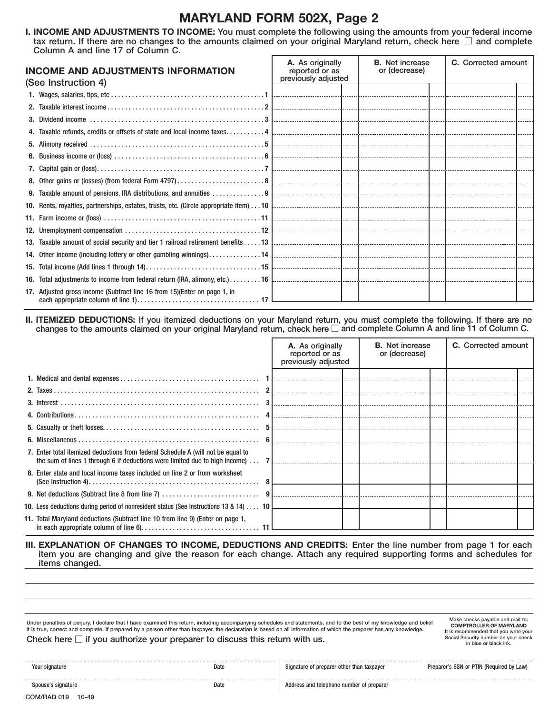### **MARYLAND FORM 502X, Page 2**

 **I. INCOME AND ADJUSTMENTS TO INCOME:** You must complete the following using the amounts from your federal income tax return. If there are no changes to the amounts claimed on your original Maryland return, check here  $\Box$  and complete Column A and line 17 of Column C.

| <b>INCOME AND ADJUSTMENTS INFORMATION</b><br>(See Instruction 4)          | A. As originally<br>reported or as<br>previously adjusted | <b>B.</b> Net increase<br>or (decrease) | C. Corrected amount |  |  |
|---------------------------------------------------------------------------|-----------------------------------------------------------|-----------------------------------------|---------------------|--|--|
|                                                                           |                                                           |                                         |                     |  |  |
|                                                                           |                                                           |                                         |                     |  |  |
|                                                                           |                                                           |                                         |                     |  |  |
|                                                                           |                                                           |                                         |                     |  |  |
|                                                                           |                                                           |                                         |                     |  |  |
|                                                                           |                                                           |                                         |                     |  |  |
|                                                                           |                                                           |                                         |                     |  |  |
|                                                                           |                                                           |                                         |                     |  |  |
|                                                                           |                                                           |                                         |                     |  |  |
|                                                                           |                                                           |                                         |                     |  |  |
|                                                                           |                                                           |                                         |                     |  |  |
|                                                                           |                                                           |                                         |                     |  |  |
|                                                                           |                                                           |                                         |                     |  |  |
|                                                                           |                                                           |                                         |                     |  |  |
|                                                                           |                                                           |                                         |                     |  |  |
|                                                                           |                                                           |                                         |                     |  |  |
| 17. Adjusted gross income (Subtract line 16 from 15) (Enter on page 1, in |                                                           |                                         |                     |  |  |

**II. ITEMIZED DEDUCTIONS:** If you itemized deductions on your Maryland return, you must complete the following. If there are no changes to the amounts claimed on your original Maryland return, check here  $\Box$  and complete Column A and line 11 of Column C.

|                                                                                              | A. As originally<br>previously adjusted | <b>B.</b> Net increase<br>or (decrease) | <b>C.</b> Corrected amount |  |  |  |
|----------------------------------------------------------------------------------------------|-----------------------------------------|-----------------------------------------|----------------------------|--|--|--|
|                                                                                              |                                         |                                         |                            |  |  |  |
|                                                                                              |                                         |                                         |                            |  |  |  |
|                                                                                              |                                         |                                         |                            |  |  |  |
|                                                                                              |                                         |                                         |                            |  |  |  |
|                                                                                              |                                         |                                         |                            |  |  |  |
|                                                                                              |                                         |                                         |                            |  |  |  |
| 7. Enter total itemized deductions from federal Schedule A (will not be equal to             |                                         |                                         |                            |  |  |  |
| 8. Enter state and local income taxes included on line 2 or from worksheet                   |                                         |                                         |                            |  |  |  |
|                                                                                              |                                         |                                         |                            |  |  |  |
| <b>10.</b> Less deductions during period of nonresident status (See Instructions 13 & 14) 10 |                                         |                                         |                            |  |  |  |
| 11. Total Maryland deductions (Subtract line 10 from line 9) (Enter on page 1,               |                                         |                                         |                            |  |  |  |

Under penalties of perjury, I declare that I have examined this return, including accompanying schedules and statements, and to the best of my knowledge and belief Make checks payable and mail to:<br>it is true, correct and c

**COMPTROLLER OF MARYLAND**<br>It is recommended that you write your Social Security number on your check<br>in blue or black ink.

| Your signature |  |  |  |  |  |  |  |  |  |  |  |  |  |  |  |  |  |  |  |
|----------------|--|--|--|--|--|--|--|--|--|--|--|--|--|--|--|--|--|--|--|

Date Signature of preparer other than taxpayer Preparer's SSN or PTIN (Required by Law)

Spouse's signature and the Date Address and telephone number of preparer

**III. EXPLANATION OF CHANGES TO INCOME, DEDUCTIONS AND CREDITS:** Enter the line number from page 1 for each item you are changing and give the reason for each change. Attach any required supporting forms and schedules for items changed.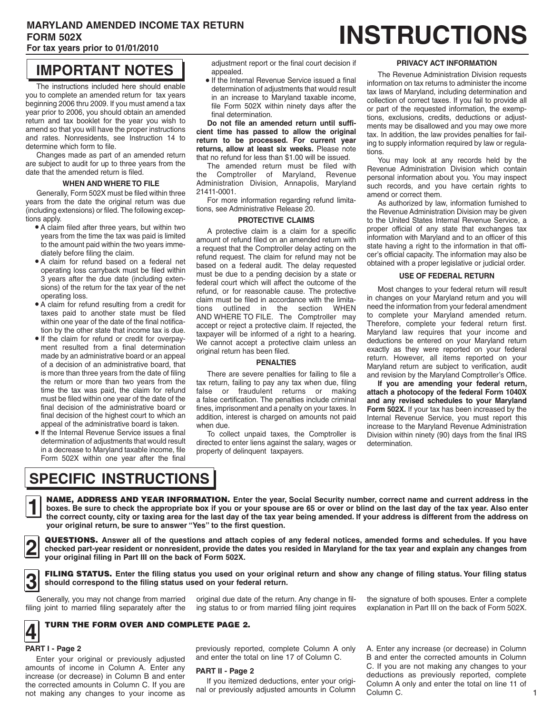### **MARYLAND AMENDED INCOME TAX RETURN**  FORM 502X **EXAMPLE AX RETURN INSTRUCTIONS**

### **For tax years prior to 01/01/2010**

# **IMPORTANT NOTES**

 you to complete an amended return for tax years  $\int$ The instructions included here should enable beginning 2006 thru 2009. If you must amend a tax year prior to 2006, you should obtain an amended return and tax booklet for the year you wish to amend so that you will have the proper instructions and rates. Nonresidents, see Instruction 14 to determine which form to file.

Changes made as part of an amended return are subject to audit for up to three years from the date that the amended return is filed.

#### **WHEN AND WHERE TO FILE**

Generally, Form 502X must be filed within three years from the date the original return was due (including extensions) or filed. The following exceptions apply.

- • A claim filed after three years, but within two years from the time the tax was paid is limited to the amount paid within the two years immediately before filing the claim.
- • A claim for refund based on a federal net operating loss carryback must be filed within 3 years after the due date (including extensions) of the return for the tax year of the net operating loss.
- • A claim for refund resulting from a credit for taxes paid to another state must be filed within one year of the date of the final notification by the other state that income tax is due.
- • If the claim for refund or credit for overpayment resulted from a final determination made by an administrative board or an appeal of a decision of an administrative board, that is more than three years from the date of filing the return or more than two years from the time the tax was paid, the claim for refund must be filed within one year of the date of the final decision of the administrative board or final decision of the highest court to which an appeal of the administrative board is taken.
- • If the Internal Revenue Service issues a final determination of adjustments that would result in a decrease to Maryland taxable income, file Form 502X within one year after the final

adjustment report or the final court decision if appealed.

 • If the Internal Revenue Service issued a final determination of adjustments that would result in an increase to Maryland taxable income, file Form 502X within ninety days after the final determination.

**Do not file an amended return until sufficient time has passed to allow the original return to be processed. For current year returns, allow at least six weeks.** Please note that no refund for less than \$1.00 will be issued.

The amended return must be filed with the Comptroller of Maryland, Revenue Administration Division, Annapolis, Maryland 21411-0001.

For more information regarding refund limitations, see Administrative Release 20.

#### **PROTECTIVE CLAIMS**

 AND WHERE TO FILE. The Comptroller may A protective claim is a claim for a specific amount of refund filed on an amended return with a request that the Comptroller delay acting on the refund request. The claim for refund may not be based on a federal audit. The delay requested must be due to a pending decision by a state or federal court which will affect the outcome of the refund, or for reasonable cause. The protective claim must be filed in accordance with the limitations outlined in the section WHEN accept or reject a protective claim. If rejected, the taxpayer will be informed of a right to a hearing. We cannot accept a protective claim unless an original return has been filed.

#### **PENALTIES**

There are severe penalties for failing to file a tax return, failing to pay any tax when due, filing false or fraudulent returns or making a false certification. The penalties include criminal fines, imprisonment and a penalty on your taxes. In addition, interest is charged on amounts not paid when due.

 To collect unpaid taxes, the Comptroller is directed to enter liens against the salary, wages or property of delinquent taxpayers.

#### **PRIVACY ACT INFORMATION**

 The Revenue Administration Division requests information on tax returns to administer the income tax laws of Maryland, including determination and collection of correct taxes. If you fail to provide all or part of the requested information, the exemptions, exclusions, credits, deductions or adjustments may be disallowed and you may owe more tax. In addition, the law provides penalties for failing to supply information required by law or regulations.

You may look at any records held by the Revenue Administration Division which contain personal information about you. You may inspect such records, and you have certain rights to amend or correct them.

As authorized by law, information furnished to the Revenue Administration Division may be given to the United States Internal Revenue Service, a proper official of any state that exchanges tax information with Maryland and to an officer of this state having a right to the information in that officer's official capacity. The information may also be obtained with a proper legislative or judicial order.

#### **USE OF FEDERAL RETURN**

Most changes to your federal return will result in changes on your Maryland return and you will need the information from your federal amendment to complete your Maryland amended return. Therefore, complete your federal return first. Maryland law requires that your income and deductions be entered on your Maryland return exactly as they were reported on your federal return. However, all items reported on your Maryland return are subject to verification, audit and revision by the Maryland Comptroller's Office.

**If you are amending your federal return, attach a photocopy of the federal Form 1040X and any revised schedules to your Maryland Form 502X.** If your tax has been increased by the Internal Revenue Service, you must report this increase to the Maryland Revenue Administration Division within ninety (90) days from the final IRS determination.

# **SPECIFIC INSTRUCTIONS**

NAME, ADDRESS AND YEAR INFORMATION. Enter the year, Social Security number, correct name and current address in the the correct county, city or taxing area for the last day of the tax yea **let be sure to answer "Yes"** to the first question. **NAME, ADDRESS AND YEAR INFORMATION.** Enter the year, Social Security number, correct name and current address in the boxes. Be sure to check the appropriate box if you or your spouse are 65 or over or blind on the last da **the correct county, city or taxing area for the last day of the tax year being amended. If your address is different from the address on** 

□ **your original filing in Part III on the back of Form 502X.**  QUESTIONS. Answer all of the questions and attach copies of any federal notices, amended forms and schedules. If you have<br>
vour original filing in Part III on the back of Form 502X.<br>
vour original filing in Part III on the

**3 FILING STATUS.** Enter the filing status you used on your original return and show any change of filing status. Your filing status <br> **3** should correspond to the filing status used on your federal return. **should correspond to the filing status used on your federal return.** 

Generally,

filing joint to married filing separately after the ing status to or from married filing joint requires explanation in Part III on the back of Form 502X.

original due date of the return. Any change in fil- the signature of both spouses. Enter a complete

### **4** TURN THE FORM OVER AND COMPLETE PAGE 2.

## □ **PART I - Page 2**

Enter your original or previously adjusted amounts of income in Column A. Enter any increase (or decrease) in Column B and enter the corrected amounts in Column C. If you are not making any changes to your income as

previously reported, complete Column A only and enter the total on line 17 of Column C.

#### **PART II - Page 2**

If you itemized deductions, enter your original or previously adjusted amounts in Column A. Enter any increase (or decrease) in Column B and enter the corrected amounts in Column C. If you are not making any changes to your deductions as previously reported, complete Column A only and enter the total on line 11 of Column C.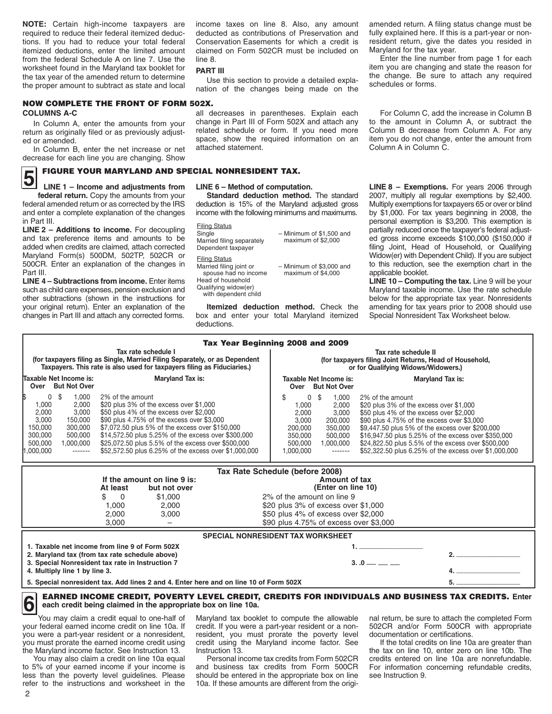**NOTE:** Certain high-income taxpayers are required to reduce their federal itemized deductions. If you had to reduce your total federal itemized deductions, enter the limited amount from the federal Schedule A on line 7. Use the worksheet found in the Maryland tax booklet for the tax year of the amended return to determine the proper amount to subtract as state and local

# NOW COMPLETE THE FRONT OF FORM 502X.

return as originally filed or as previously adjust-

In Column B, enter the net increase or net decrease for each line you are changing. Show

### **5** FIGURE YOUR MARYLAND AND SPECIAL NONRESIDENT TAX.<br>LINE 1 – Income and adjustments from LINE 6 – Method of computation **LINE 1 – Income and adjustments from**

 federal amended return or as corrected by the IRS **FINE 1 – Income and adjustments from**<br>**federal return.** Copy the amounts from your and enter a complete explanation of the changes in Part III.

 **LINE 2 – Additions to income.** For decoupling and tax preference items and amounts to be added when credits are claimed, attach corrected 500CR. Enter an explanation of the changes in Maryland Form(s) 500DM, 502TP, 502CR or Part III.

 such as child care expenses, pension exclusion and your original return). Enter an explanation of the **LINE 4 – Subtractions from income.** Enter items other subtractions (shown in the instructions for changes in Part III and attach any corrected forms.

income taxes on line 8. Also, any amount deducted as contributions of Preservation and Conservation Easements for which a credit is claimed on Form 502CR must be included on line 8.

#### **PART III**

 nation of the changes being made on the Use this section to provide a detailed expla-

**COLUMNS A-C all decreases in parentheses.** Explain each In Column A, enter the amounts from your change in Part III of Form 502X and attach any<br>urn as originally filed or as previously adjust- related schedule or form. If you need more ed or amended.<br>
ed or amended.<br>
In Column B, enter the net increase or net attached statement.

#### **LINE 6 – Method of computation.**

 **Standard deduction method.** The standard deduction is 15% of the Maryland adjusted gross income with the following minimums and maximums.

Filing Status Single Married filing separately Dependent taxpayer Filing Status Married filing joint or spouse had no income Head of household Qualifying widow(er) with dependent child – Minimum of \$1,500 and maximum of \$2,000 – Minimum of \$3,000 and maximum of \$4,000

 **Itemized deduction method.** Check the box and enter your total Maryland itemized deductions.

amended return. A filing status change must be fully explained here. If this is a part-year or nonresident return, give the dates you resided in Maryland for the tax year.

Enter the line number from page 1 for each item you are changing and state the reason for the change. Be sure to attach any required schedules or forms.

For Column C, add the increase in Column B to the amount in Column A, or subtract the Column B decrease from Column A. For any item you do not change, enter the amount from Column A in Column C.

 **LINE 8 – Exemptions.** For years 2006 through Multiply exemptions for taxpayers 65 or over or blind by \$1,000. For tax years beginning in 2008, the personal exemption is \$3,200. This exemption is 2007, multiply all regular exemptions by \$2,400. partially reduced once the taxpayer's federal adjusted gross income exceeds \$100,000 (\$150,000 if filing Joint, Head of Household, or Qualifying Widow(er) with Dependent Child). If you are subject to this reduction, see the exemption chart in the applicable booklet.

 Maryland taxable income. Use the rate schedule below for the appropriate tax year. Nonresidents **LINE 10 – Computing the tax.** Line 9 will be your amending for tax years prior to 2008 should use Special Nonresident Tax Worksheet below.

#### Tax Year Beginning 2008 and 2009 **Tax rate schedule I Tax rate schedule II**

|                                                       |                                                                      |                                                                                          | (for taxpayers filing as Single, Married Filing Separately, or as Dependent<br>Taxpayers. This rate is also used for taxpayers filing as Fiduciaries.)                                                                                                                                                                                                                        | (for taxpayers filing Joint Returns, Head of Household,<br>or for Qualifying Widows/Widowers.) |                                                          |                                                                                       |                                                                                                                                                                                                                                                                                                                                                                               |  |  |  |  |  |  |
|-------------------------------------------------------|----------------------------------------------------------------------|------------------------------------------------------------------------------------------|-------------------------------------------------------------------------------------------------------------------------------------------------------------------------------------------------------------------------------------------------------------------------------------------------------------------------------------------------------------------------------|------------------------------------------------------------------------------------------------|----------------------------------------------------------|---------------------------------------------------------------------------------------|-------------------------------------------------------------------------------------------------------------------------------------------------------------------------------------------------------------------------------------------------------------------------------------------------------------------------------------------------------------------------------|--|--|--|--|--|--|
| Taxable Net Income is:<br><b>But Not Over</b><br>Over |                                                                      |                                                                                          | Maryland Tax is:                                                                                                                                                                                                                                                                                                                                                              | Over                                                                                           |                                                          | Taxable Net Income is:<br><b>But Not Over</b>                                         | <b>Maryland Tax is:</b>                                                                                                                                                                                                                                                                                                                                                       |  |  |  |  |  |  |
|                                                       | .000<br>2.000<br>3.000<br>150,000<br>300,000<br>500,000<br>1.000.000 | 1.000<br>0 \$<br>2.000<br>3.000<br>150,000<br>300.000<br>500,000<br>1.000.000<br>------- | 2% of the amount<br>\$20 plus 3% of the excess over \$1,000<br>\$50 plus 4% of the excess over \$2,000<br>\$90 plus 4.75% of the excess over \$3,000<br>\$7,072.50 plus 5% of the excess over \$150,000<br>\$14,572.50 plus 5.25% of the excess over \$300,000<br>\$25,072.50 plus 5.5% of the excess over \$500,000<br>\$52,572.50 plus 6.25% of the excess over \$1,000,000 | 1.000.000                                                                                      | 1.000<br>2.000<br>3.000<br>200,000<br>350,000<br>500.000 | 0S<br>.000<br>2.000<br>3.000<br>200,000<br>350,000<br>500,000<br>1.000.000<br>------- | 2% of the amount<br>\$20 plus 3% of the excess over \$1,000<br>\$50 plus 4% of the excess over \$2,000<br>\$90 plus 4.75% of the excess over \$3,000<br>\$9,447.50 plus 5% of the excess over \$200,000<br>\$16,947.50 plus 5.25% of the excess over \$350,000<br>\$24,822.50 plus 5.5% of the excess over \$500,000<br>\$52,322.50 plus 6.25% of the excess over \$1,000,000 |  |  |  |  |  |  |
|                                                       |                                                                      |                                                                                          |                                                                                                                                                                                                                                                                                                                                                                               |                                                                                                |                                                          |                                                                                       |                                                                                                                                                                                                                                                                                                                                                                               |  |  |  |  |  |  |

| Tax Rate Schedule (before 2008)                                                       |         |                                          |  |  |  |  |  |  |  |  |  |
|---------------------------------------------------------------------------------------|---------|------------------------------------------|--|--|--|--|--|--|--|--|--|
| If the amount on line 9 is:<br>At least                                               |         |                                          |  |  |  |  |  |  |  |  |  |
|                                                                                       | \$1,000 | 2% of the amount on line 9               |  |  |  |  |  |  |  |  |  |
| 1.000                                                                                 | 2.000   | \$20 plus 3% of excess over \$1,000      |  |  |  |  |  |  |  |  |  |
| 2.000                                                                                 | 3.000   | \$50 plus 4% of excess over \$2,000      |  |  |  |  |  |  |  |  |  |
| 3.000                                                                                 |         | \$90 plus 4.75% of excess over \$3,000   |  |  |  |  |  |  |  |  |  |
|                                                                                       |         | <b>SPECIAL NONRESIDENT TAX WORKSHEET</b> |  |  |  |  |  |  |  |  |  |
| 1. Taxable net income from line 9 of Form 502X                                        |         |                                          |  |  |  |  |  |  |  |  |  |
| 2. Maryland tax (from tax rate schedule above)                                        |         |                                          |  |  |  |  |  |  |  |  |  |
| 3. Special Nonresident tax rate in Instruction 7                                      |         |                                          |  |  |  |  |  |  |  |  |  |
| 4. Multiply line 1 by line 3.                                                         |         |                                          |  |  |  |  |  |  |  |  |  |
| 5. Special nonresident tax. Add lines 2 and 4. Enter here and on line 10 of Form 502X |         |                                          |  |  |  |  |  |  |  |  |  |

**6** EARNED INCOME CREDIT, POVERTY LEVEL CREDIT, CREDITS FOR INDIVIDUALS AND BUSINESS TAX CREDITS. Enter each credit being claimed in the appropriate box on line 10a. **each credit being claimed in the appropriate box on line 10a.** 

The You may claim a credit equal to one-half of your federal earned income credit on line 10a. If your federal earned income credit on line 10a. If credit. If you were a part-year resident or a non- 502CR and/or Form 500CR with appropriate you were a part-year resident or a nonresident, resident or setifications.

less than the poverty level guidelines. Please refer to the instructions and worksheet in the less than the poverty level guidelines. Please should be entered in the appropriate box on line see Instruction 9. to 5% of your earned income if your income is

you were a part-year resident or a nonresident, resident, you must prorate the poverty level documentation or certifications.

10a. If these amounts are different from the origi-

Maryland tax booklet to compute the allowable nal return, be sure to attach the completed Form

 you must prorate the earned income credit using credit using the Maryland income factor. See If the total credits on line 10a are greater than the Maryland income factor. See Instruction 13. Instruction 13. Instruction 13. the tax on line 10, enter zero on line 10b. The<br>You may also claim a credit on line 10a equal Personal income tax credits from Form 502CR cred Personal income tax credits from Form 502CR credits entered on line 10a are nonrefundable.<br>and business tax credits from Form 500CR For information concerning refundable credits,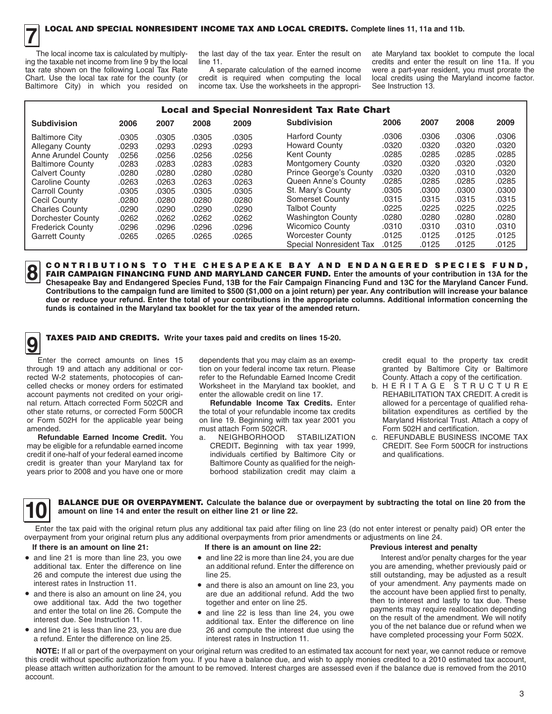ing the taxable net income from line 9 by the local tax rate shown on the following Local Tax Rate<br>Chart. Use the local tax rate for the county (or The local income tax is calculated by multiplythe last day of the tax year. Enter the result on ate Maryland tax booklet to compute the local<br>line 11. If you

Baltimore City) in which you resided on income tax. Use the worksheets in the appropri- See Instruction 13.

Ing the tax be taken the taxable 11.<br>A separate calculation of the earned income were a part-year resident, you must prorate the A separate calculation of the earned income were a part-year resident, you must prorate the credit is required when computing the local local credits using the Maryland income factor. credit is required when computing the local local credits using the Maryland income factor.<br>income tax. Use the worksheets in the appropri-<br>See Instruction 13.

| <b>Local and Special Nonresident Tax Rate Chart</b> |       |       |       |       |                               |       |       |       |       |  |  |  |
|-----------------------------------------------------|-------|-------|-------|-------|-------------------------------|-------|-------|-------|-------|--|--|--|
| <b>Subdivision</b>                                  | 2006  | 2007  | 2008  | 2009  | <b>Subdivision</b>            | 2006  | 2007  | 2008  | 2009  |  |  |  |
| <b>Baltimore City</b>                               | .0305 | .0305 | .0305 | .0305 | <b>Harford County</b>         | .0306 | .0306 | .0306 | .0306 |  |  |  |
| <b>Allegany County</b>                              | .0293 | .0293 | .0293 | .0293 | <b>Howard County</b>          | .0320 | .0320 | .0320 | .0320 |  |  |  |
| Anne Arundel County                                 | .0256 | .0256 | .0256 | .0256 | Kent County                   | .0285 | .0285 | .0285 | .0285 |  |  |  |
| <b>Baltimore County</b>                             | .0283 | .0283 | .0283 | .0283 | <b>Montgomery County</b>      | .0320 | .0320 | .0320 | .0320 |  |  |  |
| <b>Calvert County</b>                               | .0280 | .0280 | .0280 | .0280 | <b>Prince George's County</b> | .0320 | .0320 | .0310 | .0320 |  |  |  |
| Caroline County                                     | .0263 | .0263 | .0263 | .0263 | Queen Anne's County           | .0285 | .0285 | .0285 | .0285 |  |  |  |
| <b>Carroll County</b>                               | .0305 | .0305 | .0305 | .0305 | St. Mary's County             | .0305 | .0300 | .0300 | .0300 |  |  |  |
| Cecil County                                        | .0280 | .0280 | .0280 | .0280 | Somerset County               | .0315 | .0315 | .0315 | .0315 |  |  |  |
| <b>Charles County</b>                               | .0290 | .0290 | .0290 | .0290 | <b>Talbot County</b>          | .0225 | .0225 | .0225 | .0225 |  |  |  |
| Dorchester County                                   | .0262 | .0262 | .0262 | .0262 | <b>Washington County</b>      | .0280 | .0280 | .0280 | .0280 |  |  |  |
| <b>Frederick County</b>                             | .0296 | .0296 | .0296 | .0296 | <b>Wicomico County</b>        | .0310 | .0310 | .0310 | .0310 |  |  |  |
| <b>Garrett County</b>                               | .0265 | .0265 | .0265 | .0265 | <b>Worcester County</b>       | .0125 | .0125 | .0125 | .0125 |  |  |  |
|                                                     |       |       |       |       | Special Nonresident Tax       | .0125 | .0125 | .0125 | .0125 |  |  |  |



CONTRIBUTIONS TO THE CHESAPEAKE BAY AND ENDANGERED SPECIES FUND, . Chesapeake Bay and Endangered Species Fund, 13B for the Fair Campaign Financing Fund and 13C for the Maryland Cancer Fund.<br>Contributions to the campaign fund are limited to \$500 (\$1,000 on a joint return) per year. Any **8** CONTRIBUTIONS TO THE CHESAPEAKE BAY AND ENDANGERED SPECIES FUND,<br>**FAIR CAMPAIGN FINANCING FUND AND MARYLAND CANCER FUND.** Enter the amounts of your contribution in 13A for the<br>Chesapeake Bay and Endangered Species Fund **Chesapeake Bay and Endangered Species Fund, 13B for the Fair Campaign Financing Fund and 13C for the Maryland Cancer Fund. due or reduce your refund. Enter the total of your contributions in the appropriate columns. Additional information concerning the funds is contained in the Maryland tax booklet for the tax year of the amended return.** 

**9** TAXES PAID AND CREDITS. Write your taxes paid and credits on lines 15-20.

□ Enter the correct amounts on lines 15 through 19 and attach any additional or corrected W-2 statements, photocopies of cancelled checks or money orders for estimated account payments not credited on your original return. Attach corrected Form 502CR and other state returns, or corrected Form 500CR or Form 502H for the applicable year being amended.

**Refundable Earned Income Credit.** You may be eligible for a refundable earned income credit if one-half of your federal earned income credit is greater than your Maryland tax for years prior to 2008 and you have one or more dependents that you may claim as an exemption on your federal income tax return. Please refer to the Refundable Earned Income Credit Worksheet in the Maryland tax booklet, and enter the allowable credit on line 17.

**Refundable Income Tax Credits.** Enter the total of your refundable income tax credits on line 19. Beginning with tax year 2001 you must attach Form 502CR.

a. NEIGHBORHOOD STABILIZATION CREDIT**.** Beginning with tax year 1999, individuals certified by Baltimore City or Baltimore County as qualified for the neighborhood stabilization credit may claim a

 credit equal to the property tax credit granted by Baltimore City or Baltimore County. Attach a copy of the certification.

- b. H E R I T A G E S T R U C T U R E REHABILITATION TAX CREDIT. A credit is allowed for a percentage of qualified rehabilitation expenditures as certified by the Maryland Historical Trust. Attach a copy of Form 502H and certification.
- c. REFUNDABLE BUSINESS INCOME TAX CREDIT. See Form 500CR for instructions and qualifications.

**10 BALANCE DUE OR OVERPAYMENT.** Calculate the balance due or overpayment by subtracting the total on line 20 from the amount on line 14 and enter the result on either line 21 or line 22. **amount on line 14 and enter the result on either line 21 or line 22.** 

Enter the tax paid with the original return plus any additional tax paid after filing on line 23 (do not enter interest or penalty paid) OR enter the proportional return plus any additional tax paid after filing on line 23 overpayment from your original return plus any additional overpayments from prior amendments or adjustments on line 24.

#### **If there is an amount on line 21:**

- and line 21 is more than line 23, you owe additional tax. Enter the difference on line 26 and compute the interest due using the interest rates in Instruction 11.
- • and there is also an amount on line 24, you owe additional tax. Add the two together and enter the total on line 26. Compute the interest due. See Instruction 11.
- • and line 21 is less than line 23, you are due a refund. Enter the difference on line 25.
- • and line 22 is more than line 24, you are due **If there is an amount on line 22:**
- an additional refund. Enter the difference on line 25.
- • and there is also an amount on line 23, you are due an additional refund. Add the two together and enter on line 25.
- • and line 22 is less than line 24, you owe additional tax. Enter the difference on line 26 and compute the interest due using the interest rates in Instruction 11.

#### **Previous interest and penalty**

Interest and/or penalty charges for the year you are amending, whether previously paid or still outstanding, may be adjusted as a result of your amendment. Any payments made on the account have been applied first to penalty, then to interest and lastly to tax due. These payments may require reallocation depending on the result of the amendment. We will notify you of the net balance due or refund when we have completed processing your Form 502X.

**NOTE:** If all or part of the overpayment on your original return was credited to an estimated tax account for next year, we cannot reduce or remove this credit without specific authorization from you. If you have a balance due, and wish to apply monies credited to a 2010 estimated tax account, please attach written authorization for the amount to be removed. Interest charges are assessed even if the balance due is removed from the 2010 account.